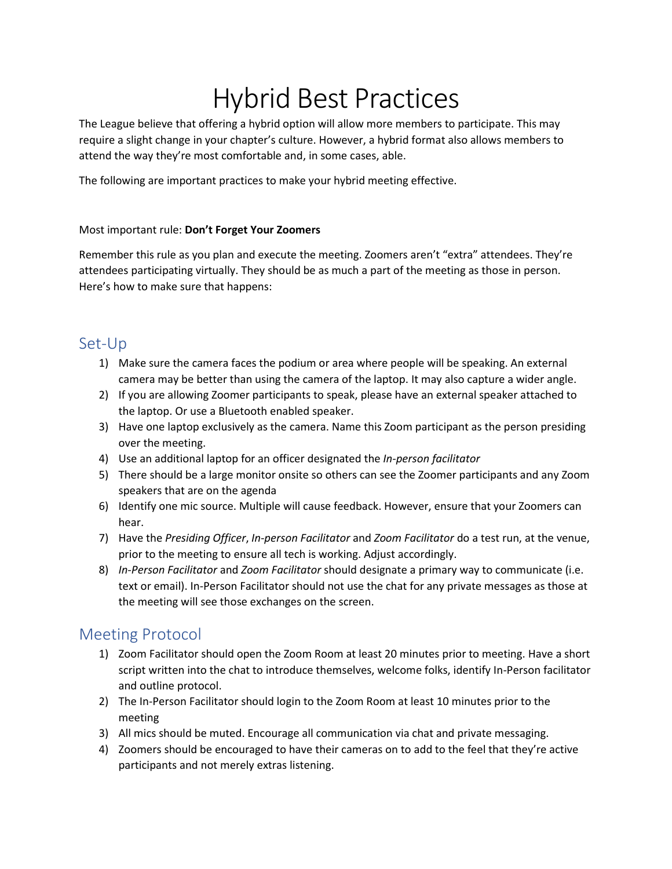# Hybrid Best Practices

The League believe that offering a hybrid option will allow more members to participate. This may require a slight change in your chapter's culture. However, a hybrid format also allows members to attend the way they're most comfortable and, in some cases, able.

The following are important practices to make your hybrid meeting effective.

#### Most important rule: **Don't Forget Your Zoomers**

Remember this rule as you plan and execute the meeting. Zoomers aren't "extra" attendees. They're attendees participating virtually. They should be as much a part of the meeting as those in person. Here's how to make sure that happens:

#### Set-Up

- 1) Make sure the camera faces the podium or area where people will be speaking. An external camera may be better than using the camera of the laptop. It may also capture a wider angle.
- 2) If you are allowing Zoomer participants to speak, please have an external speaker attached to the laptop. Or use a Bluetooth enabled speaker.
- 3) Have one laptop exclusively as the camera. Name this Zoom participant as the person presiding over the meeting.
- 4) Use an additional laptop for an officer designated the *In-person facilitator*
- 5) There should be a large monitor onsite so others can see the Zoomer participants and any Zoom speakers that are on the agenda
- 6) Identify one mic source. Multiple will cause feedback. However, ensure that your Zoomers can hear.
- 7) Have the *Presiding Officer*, *In-person Facilitator* and *Zoom Facilitator* do a test run, at the venue, prior to the meeting to ensure all tech is working. Adjust accordingly.
- 8) *In-Person Facilitator* and *Zoom Facilitator* should designate a primary way to communicate (i.e. text or email). In-Person Facilitator should not use the chat for any private messages as those at the meeting will see those exchanges on the screen.

## Meeting Protocol

- 1) Zoom Facilitator should open the Zoom Room at least 20 minutes prior to meeting. Have a short script written into the chat to introduce themselves, welcome folks, identify In-Person facilitator and outline protocol.
- 2) The In-Person Facilitator should login to the Zoom Room at least 10 minutes prior to the meeting
- 3) All mics should be muted. Encourage all communication via chat and private messaging.
- 4) Zoomers should be encouraged to have their cameras on to add to the feel that they're active participants and not merely extras listening.